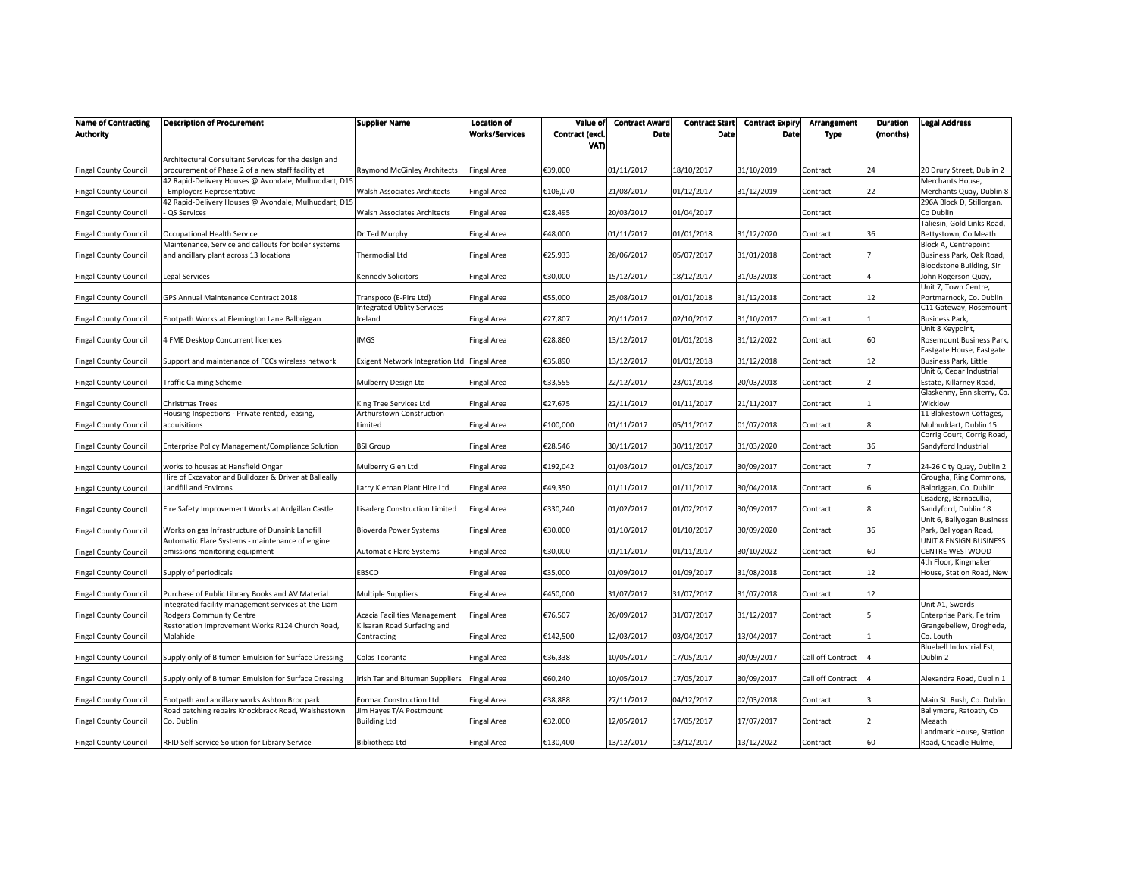| <b>Name of Contracting</b><br><b>Authority</b> | <b>Description of Procurement</b>                                                           | Supplier Name                                               | <b>Location of</b><br><b>Works/Services</b> | Value of<br>Contract (excl. | <b>Contract Award</b><br>Date | <b>Contract Start</b><br>Date | <b>Contract Expiry</b><br>Date | Arrangement<br><b>Type</b> | Duration<br>(months) | <b>Legal Address</b>                                  |
|------------------------------------------------|---------------------------------------------------------------------------------------------|-------------------------------------------------------------|---------------------------------------------|-----------------------------|-------------------------------|-------------------------------|--------------------------------|----------------------------|----------------------|-------------------------------------------------------|
|                                                |                                                                                             |                                                             |                                             | VAT)                        |                               |                               |                                |                            |                      |                                                       |
|                                                | Architectural Consultant Services for the design and                                        |                                                             |                                             |                             |                               |                               |                                |                            |                      |                                                       |
| <b>Fingal County Council</b>                   | procurement of Phase 2 of a new staff facility at                                           | Raymond McGinley Architects                                 | Fingal Area                                 | €39,000                     | 01/11/2017                    | 18/10/2017                    | 31/10/2019                     | Contract                   | 24                   | 20 Drury Street, Dublin 2                             |
|                                                | 42 Rapid-Delivery Houses @ Avondale, Mulhuddart, D15                                        |                                                             |                                             |                             |                               |                               |                                |                            |                      | Merchants House,                                      |
| <b>Fingal County Council</b>                   | <b>Employers Representative</b><br>42 Rapid-Delivery Houses @ Avondale, Mulhuddart, D15     | Walsh Associates Architects                                 | Fingal Area                                 | €106,070                    | 21/08/2017                    | 01/12/2017                    | 31/12/2019                     | Contract                   | 22                   | Merchants Quay, Dublin 8<br>296A Block D, Stillorgan, |
| <b>Fingal County Council</b>                   | QS Services                                                                                 | <b>Walsh Associates Architects</b>                          | <b>Fingal Area</b>                          | €28,495                     | 20/03/2017                    | 01/04/2017                    |                                | Contract                   |                      | Co Dublin                                             |
|                                                |                                                                                             |                                                             |                                             |                             |                               |                               |                                |                            |                      | Taliesin, Gold Links Road,                            |
| <b>Fingal County Council</b>                   | Occupational Health Service                                                                 | Dr Ted Murphy                                               | Fingal Area                                 | €48,000                     | 01/11/2017                    | 01/01/2018                    | 31/12/2020                     | Contract                   | 36                   | Bettystown, Co Meath                                  |
|                                                | Maintenance, Service and callouts for boiler systems                                        |                                                             |                                             |                             |                               |                               |                                |                            |                      | Block A, Centrepoint                                  |
| <b>Fingal County Council</b>                   | and ancillary plant across 13 locations                                                     | Thermodial Ltd                                              | Fingal Area                                 | €25,933                     | 28/06/2017                    | 05/07/2017                    | 31/01/2018                     | Contract                   |                      | Business Park, Oak Road,                              |
|                                                |                                                                                             |                                                             |                                             |                             |                               |                               |                                |                            |                      | Bloodstone Building, Sir                              |
| <b>Fingal County Council</b>                   | Legal Services                                                                              | Kennedy Solicitors                                          | Fingal Area                                 | €30,000                     | 15/12/2017                    | 18/12/2017                    | 31/03/2018                     | Contract                   |                      | John Rogerson Quay,                                   |
|                                                |                                                                                             |                                                             |                                             |                             |                               |                               |                                |                            |                      | Unit 7, Town Centre,                                  |
| <b>Fingal County Council</b>                   | GPS Annual Maintenance Contract 2018                                                        | Transpoco (E-Pire Ltd)                                      | Fingal Area                                 | €55,000                     | 25/08/2017                    | 01/01/2018                    | 31/12/2018                     | Contract                   | 12                   | Portmarnock, Co. Dublin                               |
|                                                |                                                                                             | <b>Integrated Utility Services</b>                          |                                             |                             |                               |                               |                                |                            |                      | C11 Gateway, Rosemount                                |
| <b>Fingal County Council</b>                   | Footpath Works at Flemington Lane Balbriggan                                                | reland                                                      | Fingal Area                                 | €27,807                     | 20/11/2017                    | 02/10/2017                    | 31/10/2017                     | Contract                   |                      | Business Park,                                        |
|                                                |                                                                                             | IMGS                                                        |                                             | €28,860                     | 13/12/2017                    | 01/01/2018                    | 31/12/2022                     |                            | 60                   | Unit 8 Keypoint,<br>Rosemount Business Park,          |
| <b>Fingal County Council</b>                   | <b>4 FME Desktop Concurrent licences</b>                                                    |                                                             | Fingal Area                                 |                             |                               |                               |                                | Contract                   |                      | Eastgate House, Eastgate                              |
| <b>Fingal County Council</b>                   | Support and maintenance of FCCs wireless network                                            | Exigent Network Integration Ltd Fingal Area                 |                                             | €35,890                     | 13/12/2017                    | 01/01/2018                    | 31/12/2018                     | Contract                   | 12                   | <b>Business Park, Little</b>                          |
|                                                |                                                                                             |                                                             |                                             |                             |                               |                               |                                |                            |                      | Unit 6, Cedar Industrial                              |
| <b>Fingal County Council</b>                   | Traffic Calming Scheme                                                                      | Mulberry Design Ltd                                         | Fingal Area                                 | €33,555                     | 22/12/2017                    | 23/01/2018                    | 20/03/2018                     | Contract                   |                      | Estate, Killarney Road,                               |
|                                                |                                                                                             |                                                             |                                             |                             |                               |                               |                                |                            |                      | Glaskenny, Enniskerry, Co.                            |
| <b>Fingal County Council</b>                   | Christmas Trees                                                                             | King Tree Services Ltd                                      | Fingal Area                                 | €27,675                     | 22/11/2017                    | 01/11/2017                    | 21/11/2017                     | Contract                   |                      | Wicklow                                               |
|                                                | Housing Inspections - Private rented, leasing,                                              | Arthurstown Construction                                    |                                             |                             |                               |                               |                                |                            |                      | 11 Blakestown Cottages,                               |
| <b>Fingal County Council</b>                   | acquisitions                                                                                | Limited                                                     | Fingal Area                                 | €100,000                    | 01/11/2017                    | 05/11/2017                    | 01/07/2018                     | Contract                   |                      | Mulhuddart, Dublin 15                                 |
|                                                |                                                                                             |                                                             |                                             |                             |                               |                               |                                |                            |                      | Corrig Court, Corrig Road,                            |
| <b>Fingal County Council</b>                   | Enterprise Policy Management/Compliance Solution                                            | <b>BSI Group</b>                                            | Fingal Area                                 | €28,546                     | 30/11/2017                    | 30/11/2017                    | 31/03/2020                     | Contract                   | 36                   | Sandyford Industrial                                  |
|                                                |                                                                                             |                                                             |                                             |                             |                               |                               |                                |                            |                      |                                                       |
| <b>Fingal County Council</b>                   | works to houses at Hansfield Ongar<br>Hire of Excavator and Bulldozer & Driver at Balleally | Mulberry Glen Ltd                                           | Fingal Area                                 | €192,042                    | 01/03/2017                    | 01/03/2017                    | 30/09/2017                     | Contract                   |                      | 24-26 City Quay, Dublin 2                             |
|                                                | Landfill and Environs                                                                       | Larry Kiernan Plant Hire Ltd                                | Fingal Area                                 | €49,350                     | 01/11/2017                    | 01/11/2017                    | 30/04/2018                     | Contract                   |                      | Grougha, Ring Commons,<br>Balbriggan, Co. Dublin      |
| <b>Fingal County Council</b>                   |                                                                                             |                                                             |                                             |                             |                               |                               |                                |                            |                      | Lisaderg, Barnacullia,                                |
| <b>Fingal County Council</b>                   | Fire Safety Improvement Works at Ardgillan Castle                                           | Lisaderg Construction Limited                               | Fingal Area                                 | €330,240                    | 01/02/2017                    | 01/02/2017                    | 30/09/2017                     | Contract                   |                      | Sandyford, Dublin 18                                  |
|                                                |                                                                                             |                                                             |                                             |                             |                               |                               |                                |                            |                      | Unit 6, Ballyogan Business                            |
| <b>Fingal County Council</b>                   | Works on gas Infrastructure of Dunsink Landfill                                             | Bioverda Power Systems                                      | Fingal Area                                 | €30,000                     | 01/10/2017                    | 01/10/2017                    | 30/09/2020                     | Contract                   | 36                   | Park, Ballyogan Road,                                 |
|                                                | Automatic Flare Systems - maintenance of engine                                             |                                                             |                                             |                             |                               |                               |                                |                            |                      | UNIT 8 ENSIGN BUSINESS                                |
| <b>Fingal County Council</b>                   | emissions monitoring equipment                                                              | Automatic Flare Systems                                     | Fingal Area                                 | €30,000                     | 01/11/2017                    | 01/11/2017                    | 30/10/2022                     | Contract                   | 60                   | CENTRE WESTWOOD                                       |
|                                                |                                                                                             |                                                             |                                             |                             |                               |                               |                                |                            |                      | 4th Floor, Kingmaker                                  |
| <b>Fingal County Council</b>                   | Supply of periodicals                                                                       | EBSCO                                                       | Fingal Area                                 | €35,000                     | 01/09/2017                    | 01/09/2017                    | 31/08/2018                     | Contract                   | 12                   | House, Station Road, New                              |
|                                                |                                                                                             |                                                             |                                             |                             |                               |                               |                                |                            |                      |                                                       |
| <b>Fingal County Council</b>                   | Purchase of Public Library Books and AV Material                                            | Multiple Suppliers                                          | Fingal Area                                 | €450,000                    | 31/07/2017                    | 31/07/2017                    | 31/07/2018                     | Contract                   | 12                   |                                                       |
|                                                | Integrated facility management services at the Liam                                         |                                                             |                                             | €76,507                     | 26/09/2017                    | 31/07/2017                    | 31/12/2017                     |                            |                      | Unit A1, Swords                                       |
| <b>Fingal County Council</b>                   | Rodgers Community Centre<br>Restoration Improvement Works R124 Church Road,                 | Acacia Facilities Management<br>Kilsaran Road Surfacing and | Fingal Area                                 |                             |                               |                               |                                | Contract                   |                      | Enterprise Park, Feltrim<br>Grangebellew, Drogheda,   |
| <b>Fingal County Council</b>                   | Malahide                                                                                    | Contracting                                                 | Fingal Area                                 | €142,500                    | 12/03/2017                    | 03/04/2017                    | 13/04/2017                     | Contract                   |                      | Co. Louth                                             |
|                                                |                                                                                             |                                                             |                                             |                             |                               |                               |                                |                            |                      | Bluebell Industrial Est,                              |
| <b>Fingal County Council</b>                   | Supply only of Bitumen Emulsion for Surface Dressing                                        | Colas Teoranta                                              | Fingal Area                                 | €36,338                     | 10/05/2017                    | 17/05/2017                    | 30/09/2017                     | Call off Contract          |                      | Dublin 2                                              |
|                                                |                                                                                             |                                                             |                                             |                             |                               |                               |                                |                            |                      |                                                       |
| <b>Fingal County Council</b>                   | Supply only of Bitumen Emulsion for Surface Dressing                                        | rish Tar and Bitumen Suppliers                              | Fingal Area                                 | €60,240                     | 10/05/2017                    | 17/05/2017                    | 30/09/2017                     | Call off Contract          |                      | Alexandra Road, Dublin 1                              |
|                                                |                                                                                             |                                                             |                                             |                             |                               |                               |                                |                            |                      |                                                       |
| <b>Fingal County Council</b>                   | Footpath and ancillary works Ashton Broc park                                               | Formac Construction Ltd                                     | Fingal Area                                 | E38,888                     | 27/11/2017                    | 04/12/2017                    | 02/03/2018                     | Contract                   |                      | Main St. Rush, Co. Dublin                             |
|                                                | Road patching repairs Knockbrack Road, Walshestown                                          | Jim Hayes T/A Postmount                                     |                                             |                             |                               |                               |                                |                            |                      | Ballymore, Ratoath, Co                                |
| <b>Fingal County Council</b>                   | Co. Dublin                                                                                  | <b>Building Ltd</b>                                         | Fingal Area                                 | €32,000                     | 12/05/2017                    | 17/05/2017                    | 17/07/2017                     | Contract                   |                      | Meaath                                                |
|                                                |                                                                                             |                                                             |                                             |                             |                               |                               |                                |                            |                      | Landmark House, Station                               |
| <b>Fingal County Council</b>                   | RFID Self Service Solution for Library Service                                              | Bibliotheca Ltd                                             | <b>Fingal Area</b>                          | €130,400                    | 13/12/2017                    | 13/12/2017                    | 13/12/2022                     | Contract                   | 60                   | Road, Cheadle Hulme,                                  |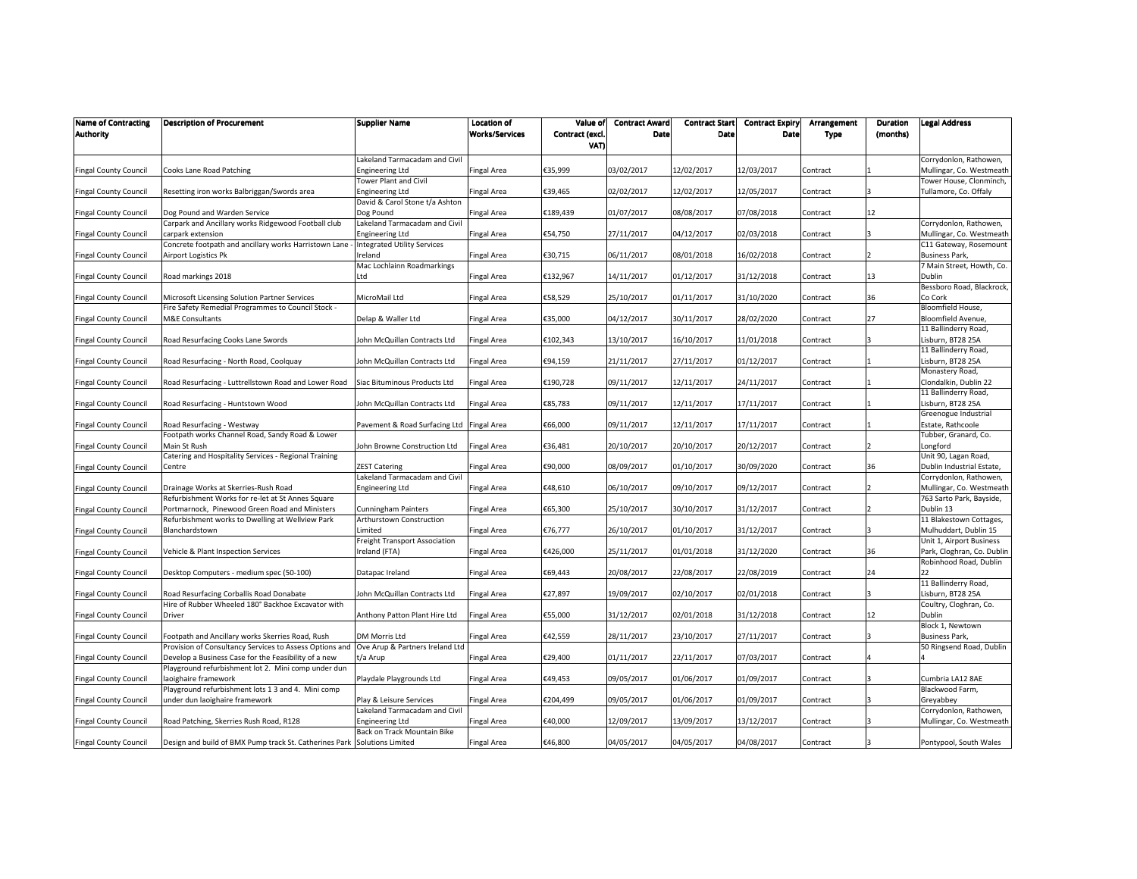| <b>Name of Contracting</b><br><b>Authority</b> | <b>Description of Procurement</b>                                                                           | Supplier Name                                         | Location of<br><b>Works/Services</b> | Value of<br>Contract (excl | <b>Contract Award</b><br>Date | <b>Contract Start</b><br>Date | <b>Contract Expiry</b><br>Date | Arrangement<br><b>Type</b> | Duration<br>(months) | <b>Legal Address</b>                               |
|------------------------------------------------|-------------------------------------------------------------------------------------------------------------|-------------------------------------------------------|--------------------------------------|----------------------------|-------------------------------|-------------------------------|--------------------------------|----------------------------|----------------------|----------------------------------------------------|
|                                                |                                                                                                             |                                                       |                                      | VAT)                       |                               |                               |                                |                            |                      |                                                    |
|                                                |                                                                                                             | Lakeland Tarmacadam and Civil                         |                                      |                            |                               |                               |                                |                            |                      | Corrydonlon, Rathowen,                             |
| <b>Fingal County Council</b>                   | Cooks Lane Road Patching                                                                                    | <b>Engineering Ltd</b>                                | <b>Fingal Area</b>                   | €35,999                    | 03/02/2017                    | 12/02/2017                    | 12/03/2017                     | Contract                   |                      | Mullingar, Co. Westmeath                           |
|                                                |                                                                                                             | Tower Plant and Civil                                 |                                      |                            |                               |                               |                                |                            |                      | Tower House, Clonminch,                            |
| <b>Fingal County Council</b>                   | Resetting iron works Balbriggan/Swords area                                                                 | <b>Engineering Ltd</b>                                | Fingal Area                          | €39,465                    | 02/02/2017                    | 12/02/2017                    | 12/05/2017                     | Contract                   |                      | Tullamore, Co. Offaly                              |
|                                                |                                                                                                             | David & Carol Stone t/a Ashton                        |                                      |                            |                               |                               |                                |                            |                      |                                                    |
| <b>Fingal County Council</b>                   | Dog Pound and Warden Service                                                                                | Dog Pound                                             | Fingal Area                          | €189,439                   | 01/07/2017                    | 08/08/2017                    | 07/08/2018                     | Contract                   | 12                   |                                                    |
|                                                | Carpark and Ancillary works Ridgewood Football club                                                         | Lakeland Tarmacadam and Civil                         |                                      |                            |                               |                               |                                |                            |                      | Corrydonlon, Rathowen,                             |
| <b>Fingal County Council</b>                   | carpark extension<br>Concrete footpath and ancillary works Harristown Lane                                  | Engineering Ltd<br><b>Integrated Utility Services</b> | Fingal Area                          | €54,750                    | 27/11/2017                    | 04/12/2017                    | 02/03/2018                     | Contract                   |                      | Mullingar, Co. Westmeath<br>C11 Gateway, Rosemount |
| <b>Fingal County Council</b>                   | Airport Logistics Pk                                                                                        | Ireland                                               | <b>Fingal Area</b>                   | €30,715                    | 06/11/2017                    | 08/01/2018                    | 16/02/2018                     | Contract                   |                      | <b>Business Park,</b>                              |
|                                                |                                                                                                             | Mac Lochlainn Roadmarkings                            |                                      |                            |                               |                               |                                |                            |                      | 7 Main Street, Howth, Co.                          |
| <b>Fingal County Council</b>                   | Road markings 2018                                                                                          | Ltd                                                   | Fingal Area                          | €132,967                   | 14/11/2017                    | 01/12/2017                    | 31/12/2018                     | Contract                   | 13                   | Dublin                                             |
|                                                |                                                                                                             |                                                       |                                      |                            |                               |                               |                                |                            |                      | Bessboro Road, Blackrock,                          |
| <b>Fingal County Council</b>                   | Microsoft Licensing Solution Partner Services                                                               | MicroMail Ltd                                         | Fingal Area                          | €58,529                    | 25/10/2017                    | 01/11/2017                    | 31/10/2020                     | Contract                   | 36                   | Co Cork                                            |
|                                                | Fire Safety Remedial Programmes to Council Stock -                                                          |                                                       |                                      |                            |                               |                               |                                |                            |                      | Bloomfield House,                                  |
| <b>Fingal County Council</b>                   | M&E Consultants                                                                                             | Delap & Waller Ltd                                    | Fingal Area                          | €35,000                    | 04/12/2017                    | 30/11/2017                    | 28/02/2020                     | Contract                   | 27                   | Bloomfield Avenue,                                 |
|                                                |                                                                                                             |                                                       |                                      |                            |                               |                               |                                |                            |                      | 11 Ballinderry Road,                               |
| <b>Fingal County Council</b>                   | Road Resurfacing Cooks Lane Swords                                                                          | John McQuillan Contracts Ltd                          | <b>Fingal Area</b>                   | €102,343                   | 13/10/2017                    | 16/10/2017                    | 11/01/2018                     | Contract                   |                      | Lisburn, BT28 25A                                  |
|                                                |                                                                                                             |                                                       |                                      |                            |                               |                               |                                |                            |                      | 11 Ballinderry Road,                               |
| <b>Fingal County Council</b>                   | Road Resurfacing - North Road, Coolquay                                                                     | John McQuillan Contracts Ltd                          | <b>Fingal Area</b>                   | €94,159                    | 21/11/2017                    | 27/11/2017                    | 01/12/2017                     | Contract                   |                      | Lisburn, BT28 25A                                  |
|                                                |                                                                                                             |                                                       |                                      |                            | 09/11/2017                    | 12/11/2017                    |                                |                            |                      | Monastery Road,<br>Clondalkin, Dublin 22           |
| <b>Fingal County Council</b>                   | Road Resurfacing - Luttrellstown Road and Lower Road                                                        | Siac Bituminous Products Ltd                          | Fingal Area                          | €190,728                   |                               |                               | 24/11/2017                     | Contract                   |                      | 11 Ballinderry Road,                               |
| <b>Fingal County Council</b>                   | Road Resurfacing - Huntstown Wood                                                                           | John McQuillan Contracts Ltd                          | <b>Fingal Area</b>                   | €85,783                    | 09/11/2017                    | 12/11/2017                    | 17/11/2017                     | Contract                   |                      | Lisburn, BT28 25A                                  |
|                                                |                                                                                                             |                                                       |                                      |                            |                               |                               |                                |                            |                      | Greenogue Industrial                               |
| <b>Fingal County Council</b>                   | Road Resurfacing - Westway                                                                                  | Pavement & Road Surfacing Ltd Fingal Area             |                                      | €66,000                    | 09/11/2017                    | 12/11/2017                    | 17/11/2017                     | Contract                   |                      | Estate, Rathcoole                                  |
|                                                | Footpath works Channel Road, Sandy Road & Lower                                                             |                                                       |                                      |                            |                               |                               |                                |                            |                      | Tubber, Granard, Co.                               |
| <b>Fingal County Council</b>                   | Vlain St Rush                                                                                               | John Browne Construction Ltd                          | <b>Fingal Area</b>                   | €36,481                    | 20/10/2017                    | 20/10/2017                    | 20/12/2017                     | Contract                   |                      | Longford                                           |
|                                                | Catering and Hospitality Services - Regional Training                                                       |                                                       |                                      |                            |                               |                               |                                |                            |                      | Unit 90, Lagan Road,                               |
| <b>Fingal County Council</b>                   | Centre                                                                                                      | <b>ZEST Catering</b>                                  | Fingal Area                          | €90,000                    | 08/09/2017                    | 01/10/2017                    | 30/09/2020                     | Contract                   | 36                   | Dublin Industrial Estate,                          |
|                                                |                                                                                                             | Lakeland Tarmacadam and Civil                         |                                      |                            |                               |                               |                                |                            |                      | Corrydonlon, Rathowen,                             |
| <b>Fingal County Council</b>                   | Drainage Works at Skerries-Rush Road                                                                        | Engineering Ltd                                       | Fingal Area                          | €48,610                    | 06/10/2017                    | 09/10/2017                    | 09/12/2017                     | Contract                   |                      | Mullingar, Co. Westmeath                           |
|                                                | Refurbishment Works for re-let at St Annes Square                                                           |                                                       |                                      |                            |                               |                               |                                |                            |                      | 763 Sarto Park, Bayside,                           |
| <b>Fingal County Council</b>                   | Portmarnock, Pinewood Green Road and Ministers<br>Refurbishment works to Dwelling at Wellview Park          | Cunningham Painters<br>Arthurstown Construction       | Fingal Area                          | €65,300                    | 25/10/2017                    | 30/10/2017                    | 31/12/2017                     | Contract                   |                      | Dublin 13<br>11 Blakestown Cottages,               |
| <b>Fingal County Council</b>                   | Blanchardstown                                                                                              | Limited                                               | Fingal Area                          | €76,777                    | 26/10/2017                    | 01/10/2017                    | 31/12/2017                     | Contract                   |                      | Mulhuddart, Dublin 15                              |
|                                                |                                                                                                             | Freight Transport Association                         |                                      |                            |                               |                               |                                |                            |                      | Unit 1, Airport Business                           |
| <b>Fingal County Council</b>                   | Vehicle & Plant Inspection Services                                                                         | Ireland (FTA)                                         | <b>Fingal Area</b>                   | €426,000                   | 25/11/2017                    | 01/01/2018                    | 31/12/2020                     | Contract                   | 36                   | Park, Cloghran, Co. Dublin                         |
|                                                |                                                                                                             |                                                       |                                      |                            |                               |                               |                                |                            |                      | Robinhood Road, Dublin                             |
| <b>Fingal County Council</b>                   | Desktop Computers - medium spec (50-100)                                                                    | Datapac Ireland                                       | Fingal Area                          | €69,443                    | 20/08/2017                    | 22/08/2017                    | 22/08/2019                     | Contract                   | 24                   | 22                                                 |
|                                                |                                                                                                             |                                                       |                                      |                            |                               |                               |                                |                            |                      | 11 Ballinderry Road,                               |
| <b>Fingal County Council</b>                   | Road Resurfacing Corballis Road Donabate                                                                    | John McQuillan Contracts Ltd                          | Fingal Area                          | €27,897                    | 19/09/2017                    | 02/10/2017                    | 02/01/2018                     | Contract                   |                      | Lisburn, BT28 25A                                  |
|                                                | Hire of Rubber Wheeled 180° Backhoe Excavator with                                                          |                                                       |                                      |                            |                               |                               |                                |                            |                      | Coultry, Cloghran, Co.                             |
| <b>Fingal County Council</b>                   | Driver                                                                                                      | Anthony Patton Plant Hire Ltd                         | <b>Fingal Area</b>                   | €55,000                    | 31/12/2017                    | 02/01/2018                    | 31/12/2018                     | Contract                   | 12                   | Dublin                                             |
|                                                |                                                                                                             |                                                       |                                      |                            |                               |                               |                                |                            |                      | Block 1, Newtown                                   |
| <b>Fingal County Council</b>                   | Footpath and Ancillary works Skerries Road, Rush                                                            | DM Morris Ltd                                         | Fingal Area                          | €42,559                    | 28/11/2017                    | 23/10/2017                    | 27/11/2017                     | Contract                   |                      | <b>Business Park,</b>                              |
|                                                | Provision of Consultancy Services to Assess Options and                                                     | Ove Arup & Partners Ireland Ltd                       |                                      |                            |                               |                               |                                |                            |                      | 50 Ringsend Road, Dublin                           |
| <b>Fingal County Council</b>                   | Develop a Business Case for the Feasibility of a new<br>Playground refurbishment lot 2. Mini comp under dun | t/a Arup                                              | <b>Fingal Area</b>                   | €29,400                    | 01/11/2017                    | 22/11/2017                    | 07/03/2017                     | Contract                   |                      |                                                    |
| <b>Fingal County Council</b>                   | laoighaire framework                                                                                        | Playdale Playgrounds Ltd                              | <b>Fingal Area</b>                   | €49,453                    | 09/05/2017                    | 01/06/2017                    | 01/09/2017                     | Contract                   |                      | Cumbria LA12 8AE                                   |
|                                                | Playground refurbishment lots 1 3 and 4. Mini comp                                                          |                                                       |                                      |                            |                               |                               |                                |                            |                      | Blackwood Farm,                                    |
| <b>Fingal County Council</b>                   | under dun laoighaire framework                                                                              | Play & Leisure Services                               | Fingal Area                          | €204,499                   | 09/05/2017                    | 01/06/2017                    | 01/09/2017                     | Contract                   |                      | Greyabbey                                          |
|                                                |                                                                                                             | Lakeland Tarmacadam and Civil                         |                                      |                            |                               |                               |                                |                            |                      | Corrydonlon, Rathowen,                             |
| <b>Fingal County Council</b>                   | Road Patching, Skerries Rush Road, R128                                                                     | Engineering Ltd                                       | Fingal Area                          | €40,000                    | 12/09/2017                    | 13/09/2017                    | 13/12/2017                     | Contract                   |                      | Mullingar, Co. Westmeath                           |
|                                                |                                                                                                             | Back on Track Mountain Bike                           |                                      |                            |                               |                               |                                |                            |                      |                                                    |
| <b>Fingal County Council</b>                   | Design and build of BMX Pump track St. Catherines Park                                                      | <b>Solutions Limited</b>                              | <b>Fingal Area</b>                   | €46,800                    | 04/05/2017                    | 04/05/2017                    | 04/08/2017                     | Contract                   |                      | Pontypool, South Wales                             |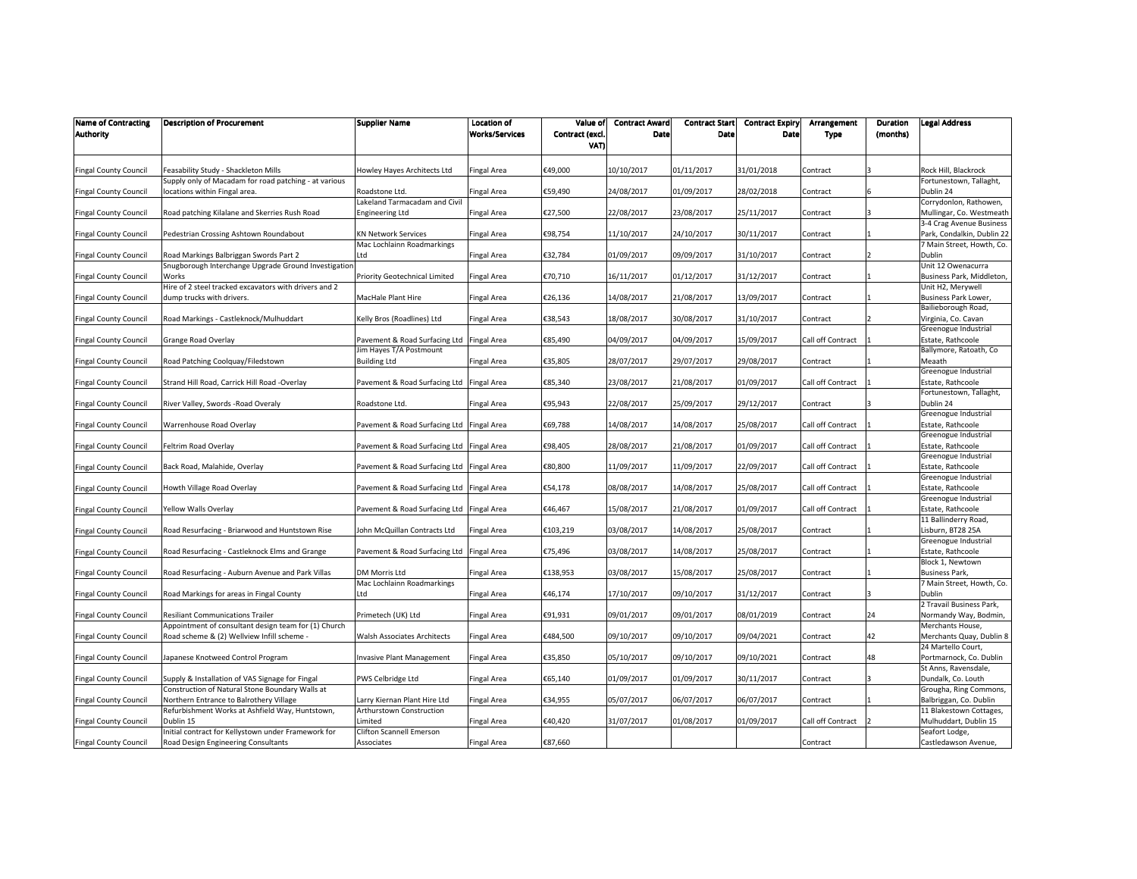| <b>Name of Contracting</b><br><b>Authority</b> | <b>Description of Procurement</b>                     | <b>Supplier Name</b>                            | Location of<br><b>Works/Services</b> | Value of<br>Contract (excl. | <b>Contract Award</b><br>Date | <b>Contract Start</b><br>Date | <b>Contract Expiry</b><br>Date | Arrangement<br><b>Type</b> | Duration<br>(months) | <b>Legal Address</b>                       |
|------------------------------------------------|-------------------------------------------------------|-------------------------------------------------|--------------------------------------|-----------------------------|-------------------------------|-------------------------------|--------------------------------|----------------------------|----------------------|--------------------------------------------|
|                                                |                                                       |                                                 |                                      | VAT)                        |                               |                               |                                |                            |                      |                                            |
|                                                |                                                       |                                                 |                                      |                             |                               |                               |                                |                            |                      |                                            |
| <b>Fingal County Council</b>                   | easability Study - Shackleton Mills                   | Howley Hayes Architects Ltd                     | Fingal Area                          | €49,000                     | 10/10/2017                    | 01/11/2017                    | 31/01/2018                     | Contract                   |                      | Rock Hill, Blackrock                       |
|                                                | Supply only of Macadam for road patching - at various |                                                 |                                      |                             |                               |                               |                                |                            |                      | Fortunestown, Tallaght,                    |
| <b>Fingal County Council</b>                   | locations within Fingal area.                         | Roadstone Ltd.<br>Lakeland Tarmacadam and Civil | Fingal Area                          | €59,490                     | 24/08/2017                    | 01/09/2017                    | 28/02/2018                     | Contract                   |                      | Dublin 24<br>Corrydonlon, Rathowen,        |
| <b>Fingal County Council</b>                   | Road patching Kilalane and Skerries Rush Road         | <b>Engineering Ltd</b>                          | Fingal Area                          | €27,500                     | 22/08/2017                    | 23/08/2017                    | 25/11/2017                     | Contract                   |                      | Mullingar, Co. Westmeath                   |
|                                                |                                                       |                                                 |                                      |                             |                               |                               |                                |                            |                      | 3-4 Crag Avenue Business                   |
| <b>Fingal County Council</b>                   | Pedestrian Crossing Ashtown Roundabout                | KN Network Services                             | Fingal Area                          | €98,754                     | 11/10/2017                    | 24/10/2017                    | 30/11/2017                     | Contract                   |                      | Park, Condalkin, Dublin 22                 |
|                                                |                                                       | Mac Lochlainn Roadmarkings                      |                                      |                             |                               |                               |                                |                            |                      | 7 Main Street, Howth, Co.                  |
| <b>Fingal County Council</b>                   | Road Markings Balbriggan Swords Part 2                | Ltd                                             | Fingal Area                          | €32,784                     | 01/09/2017                    | 09/09/2017                    | 31/10/2017                     | Contract                   |                      | Dublin                                     |
|                                                | Snugborough Interchange Upgrade Ground Investigatior  |                                                 |                                      |                             |                               |                               |                                |                            |                      | Unit 12 Owenacurra                         |
| <b>Fingal County Council</b>                   | Works                                                 | Priority Geotechnical Limited                   | Fingal Area                          | €70,710                     | 16/11/2017                    | 01/12/2017                    | 31/12/2017                     | Contract                   |                      | Business Park, Middleton,                  |
|                                                | Hire of 2 steel tracked excavators with drivers and 2 |                                                 |                                      |                             |                               |                               |                                |                            |                      | Unit H2, Merywell                          |
| <b>Fingal County Council</b>                   | dump trucks with drivers.                             | MacHale Plant Hire                              | Fingal Area                          | €26,136                     | 14/08/2017                    | 21/08/2017                    | 13/09/2017                     | Contract                   |                      | Business Park Lower,                       |
|                                                | Road Markings - Castleknock/Mulhuddart                | Kelly Bros (Roadlines) Ltd                      | Fingal Area                          | €38,543                     | 18/08/2017                    | 30/08/2017                    | 31/10/2017                     | Contract                   |                      | Bailieborough Road,<br>Virginia, Co. Cavan |
| <b>Fingal County Council</b>                   |                                                       |                                                 |                                      |                             |                               |                               |                                |                            |                      | Greenogue Industrial                       |
| <b>Fingal County Council</b>                   | Grange Road Overlay                                   | Pavement & Road Surfacing Ltd                   | <b>Fingal Area</b>                   | €85,490                     | 04/09/2017                    | 04/09/2017                    | 15/09/2017                     | Call off Contract          |                      | Estate, Rathcoole                          |
|                                                |                                                       | Jim Hayes T/A Postmount                         |                                      |                             |                               |                               |                                |                            |                      | Ballymore, Ratoath, Co                     |
| <b>Fingal County Council</b>                   | Road Patching Coolquay/Filedstown                     | <b>Building Ltd</b>                             | Fingal Area                          | €35,805                     | 28/07/2017                    | 29/07/2017                    | 29/08/2017                     | Contract                   |                      | Meaath                                     |
|                                                |                                                       |                                                 |                                      |                             |                               |                               |                                |                            |                      | Greenogue Industrial                       |
| <b>Fingal County Council</b>                   | Strand Hill Road, Carrick Hill Road -Overlay          | Pavement & Road Surfacing Ltd Fingal Area       |                                      | €85,340                     | 23/08/2017                    | 21/08/2017                    | 01/09/2017                     | Call off Contract          |                      | Estate, Rathcoole                          |
|                                                |                                                       |                                                 |                                      |                             |                               |                               |                                |                            |                      | Fortunestown, Tallaght,                    |
| <b>Fingal County Council</b>                   | River Valley, Swords - Road Overaly                   | Roadstone Ltd.                                  | Fingal Area                          | €95,943                     | 22/08/2017                    | 25/09/2017                    | 29/12/2017                     | Contract                   |                      | Dublin 24                                  |
|                                                |                                                       |                                                 |                                      |                             |                               |                               |                                |                            |                      | Greenogue Industrial                       |
| <b>Fingal County Council</b>                   | Warrenhouse Road Overlay                              | Pavement & Road Surfacing Ltd                   | Fingal Area                          | €69,788                     | 14/08/2017                    | 14/08/2017                    | 25/08/2017                     | Call off Contract          |                      | Estate, Rathcoole                          |
|                                                |                                                       |                                                 |                                      |                             |                               |                               |                                |                            |                      | Greenogue Industrial                       |
| <b>Fingal County Council</b>                   | Feltrim Road Overlay                                  | Pavement & Road Surfacing Ltd Fingal Area       |                                      | €98,405                     | 28/08/2017                    | 21/08/2017                    | 01/09/2017                     | Call off Contract          |                      | Estate, Rathcoole                          |
|                                                |                                                       |                                                 |                                      | €80,800                     | 11/09/2017                    | 11/09/2017                    |                                | Call off Contract          |                      | Greenogue Industrial<br>Estate, Rathcoole  |
| <b>Fingal County Council</b>                   | Back Road, Malahide, Overlay                          | Pavement & Road Surfacing Ltd                   | <b>Fingal Area</b>                   |                             |                               |                               | 22/09/2017                     |                            |                      | Greenogue Industrial                       |
| <b>Fingal County Council</b>                   | Howth Village Road Overlay                            | Pavement & Road Surfacing Ltd                   | <b>Fingal Area</b>                   | €54,178                     | 08/08/2017                    | 14/08/2017                    | 25/08/2017                     | Call off Contract          |                      | Estate, Rathcoole                          |
|                                                |                                                       |                                                 |                                      |                             |                               |                               |                                |                            |                      | Greenogue Industrial                       |
| <b>Fingal County Council</b>                   | Yellow Walls Overlay                                  | Pavement & Road Surfacing Ltd                   | <b>Fingal Area</b>                   | €46,467                     | 15/08/2017                    | 21/08/2017                    | 01/09/2017                     | Call off Contract          |                      | Estate, Rathcoole                          |
|                                                |                                                       |                                                 |                                      |                             |                               |                               |                                |                            |                      | 11 Ballinderry Road,                       |
| <b>Fingal County Council</b>                   | Road Resurfacing - Briarwood and Huntstown Rise       | John McQuillan Contracts Ltd                    | Fingal Area                          | €103,219                    | 03/08/2017                    | 14/08/2017                    | 25/08/2017                     | Contract                   |                      | Lisburn, BT28 25A                          |
|                                                |                                                       |                                                 |                                      |                             |                               |                               |                                |                            |                      | Greenogue Industrial                       |
| <b>Fingal County Council</b>                   | Road Resurfacing - Castleknock Elms and Grange        | Pavement & Road Surfacing Ltd                   | <b>Fingal Area</b>                   | €75,496                     | 03/08/2017                    | 14/08/2017                    | 25/08/2017                     | Contract                   |                      | Estate, Rathcoole                          |
|                                                |                                                       |                                                 |                                      |                             |                               |                               |                                |                            |                      | Block 1, Newtown                           |
| <b>Fingal County Council</b>                   | Road Resurfacing - Auburn Avenue and Park Villas      | DM Morris Ltd                                   | Fingal Area                          | €138,953                    | 03/08/2017                    | 15/08/2017                    | 25/08/2017                     | Contract                   |                      | Business Park,                             |
|                                                |                                                       | Mac Lochlainn Roadmarkings                      |                                      |                             |                               |                               |                                |                            |                      | 7 Main Street, Howth, Co.                  |
| <b>Fingal County Council</b>                   | Road Markings for areas in Fingal County              | Ltd                                             | Fingal Area                          | €46,174                     | 17/10/2017                    | 09/10/2017                    | 31/12/2017                     | Contract                   |                      | Dublin<br>2 Travail Business Park,         |
| <b>Fingal County Council</b>                   | <b>Resiliant Communications Trailer</b>               | Primetech (UK) Ltd                              | Fingal Area                          | €91,931                     | 09/01/2017                    | 09/01/2017                    | 08/01/2019                     | Contract                   | 24                   | Normandy Way, Bodmin,                      |
|                                                | Appointment of consultant design team for (1) Church  |                                                 |                                      |                             |                               |                               |                                |                            |                      | Merchants House,                           |
| <b>Fingal County Council</b>                   | Road scheme & (2) Wellview Infill scheme -            | Walsh Associates Architects                     | Fingal Area                          | €484,500                    | 09/10/2017                    | 09/10/2017                    | 09/04/2021                     | Contract                   | 42                   | Merchants Quay, Dublin 8                   |
|                                                |                                                       |                                                 |                                      |                             |                               |                               |                                |                            |                      | 24 Martello Court,                         |
| <b>Fingal County Council</b>                   | Japanese Knotweed Control Program                     | Invasive Plant Management                       | Fingal Area                          | €35,850                     | 05/10/2017                    | 09/10/2017                    | 09/10/2021                     | Contract                   | 48                   | Portmarnock, Co. Dublin                    |
|                                                |                                                       |                                                 |                                      |                             |                               |                               |                                |                            |                      | St Anns, Ravensdale,                       |
| <b>Fingal County Council</b>                   | Supply & Installation of VAS Signage for Fingal       | PWS Celbridge Ltd                               | Fingal Area                          | €65,140                     | 01/09/2017                    | 01/09/2017                    | 30/11/2017                     | Contract                   |                      | Dundalk, Co. Louth                         |
|                                                | Construction of Natural Stone Boundary Walls at       |                                                 |                                      |                             |                               |                               |                                |                            |                      | Grougha, Ring Commons,                     |
| <b>Fingal County Council</b>                   | Northern Entrance to Balrothery Village               | Larry Kiernan Plant Hire Ltd                    | Fingal Area                          | €34,955                     | 05/07/2017                    | 06/07/2017                    | 06/07/2017                     | Contract                   |                      | Balbriggan, Co. Dublin                     |
|                                                | Refurbishment Works at Ashfield Way, Huntstown,       | Arthurstown Construction                        |                                      |                             |                               |                               |                                |                            |                      | 11 Blakestown Cottages,                    |
| <b>Fingal County Council</b>                   | Dublin 15                                             | Limited                                         | Fingal Area                          | €40,420                     | 31/07/2017                    | 01/08/2017                    | 01/09/2017                     | Call off Contract          |                      | Mulhuddart, Dublin 15                      |
|                                                | Initial contract for Kellystown under Framework for   | Clifton Scannell Emerson                        |                                      | €87,660                     |                               |                               |                                |                            |                      | Seafort Lodge,                             |
| <b>Fingal County Council</b>                   | Road Design Engineering Consultants                   | Associates                                      | Fingal Area                          |                             |                               |                               |                                | Contract                   |                      | Castledawson Avenue,                       |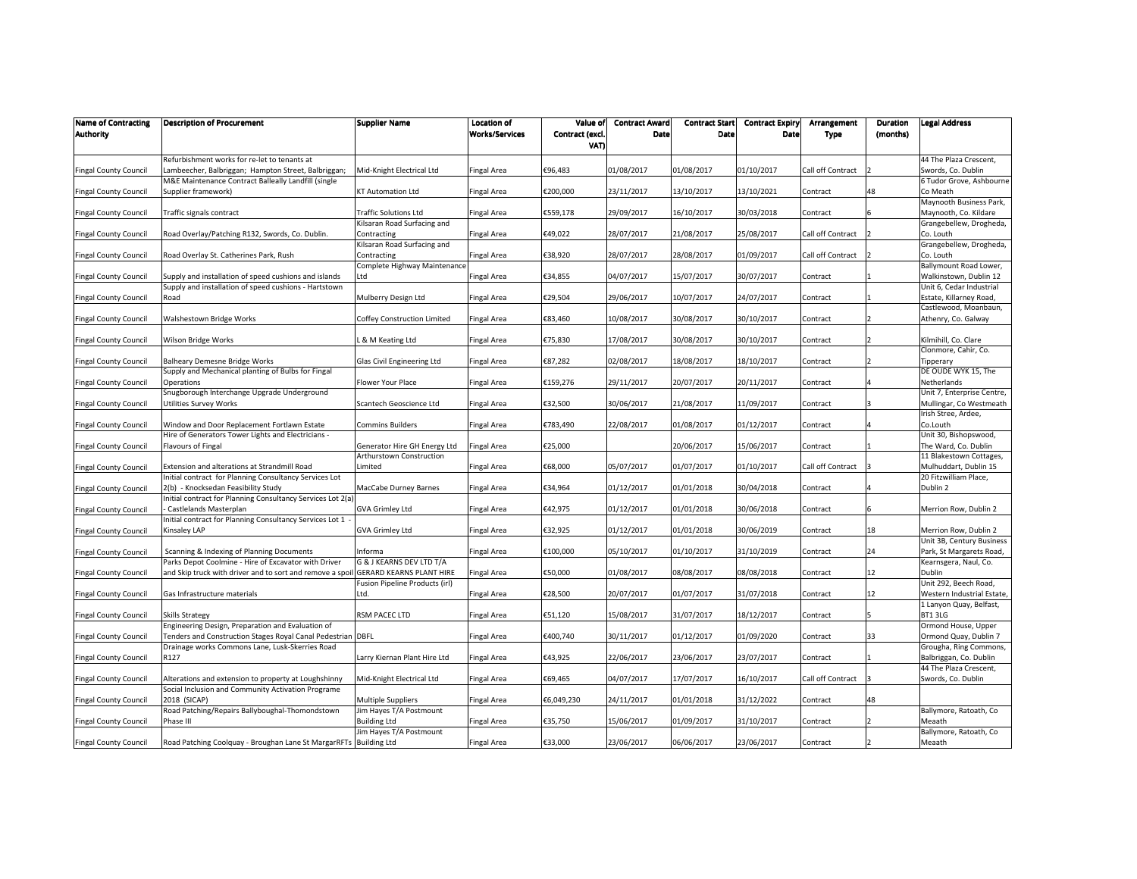| <b>Name of Contracting</b><br>Authority | <b>Description of Procurement</b>                                       | Supplier Name                                  | Location of<br><b>Works/Services</b> | Value of<br>Contract (excl.<br>VAT) | <b>Contract Award</b><br><b>Date</b> | <b>Contract Start</b><br>Date | <b>Contract Expiry</b><br>Date | Arrangement<br><b>Type</b> | Duration<br>(months) | <b>Legal Address</b>                                  |
|-----------------------------------------|-------------------------------------------------------------------------|------------------------------------------------|--------------------------------------|-------------------------------------|--------------------------------------|-------------------------------|--------------------------------|----------------------------|----------------------|-------------------------------------------------------|
|                                         | Refurbishment works for re-let to tenants at                            |                                                |                                      |                                     |                                      |                               |                                |                            |                      | 44 The Plaza Crescent,                                |
| <b>Fingal County Council</b>            | ambeecher, Balbriggan; Hampton Street, Balbriggan;                      | Mid-Knight Electrical Ltd                      | <b>Fingal Area</b>                   | €96,483                             | 01/08/2017                           | 01/08/2017                    | 01/10/2017                     | Call off Contract          |                      | Swords, Co. Dublin                                    |
|                                         | M&E Maintenance Contract Balleally Landfill (single                     |                                                |                                      |                                     |                                      |                               |                                |                            |                      | 6 Tudor Grove, Ashbourne                              |
| <b>Fingal County Council</b>            | Supplier framework)                                                     | <b>KT Automation Ltd</b>                       | <b>Fingal Area</b>                   | €200,000                            | 23/11/2017                           | 13/10/2017                    | 13/10/2021                     | Contract                   | 48                   | Co Meath                                              |
| <b>Fingal County Council</b>            | Traffic signals contract                                                | <b>Traffic Solutions Ltd</b>                   | <b>Fingal Area</b>                   | €559,178                            | 29/09/2017                           | 16/10/2017                    | 30/03/2018                     | Contract                   |                      | Maynooth Business Park,<br>Maynooth, Co. Kildare      |
|                                         |                                                                         | Kilsaran Road Surfacing and                    |                                      |                                     |                                      |                               |                                |                            |                      | Grangebellew, Drogheda,                               |
| <b>Fingal County Council</b>            | Road Overlay/Patching R132, Swords, Co. Dublin.                         | Contracting                                    | Fingal Area                          | €49,022                             | 28/07/2017                           | 21/08/2017                    | 25/08/2017                     | Call off Contract          |                      | Co. Louth                                             |
|                                         |                                                                         | Kilsaran Road Surfacing and                    |                                      |                                     |                                      |                               |                                |                            |                      | Grangebellew, Drogheda,                               |
| <b>Fingal County Council</b>            | Road Overlay St. Catherines Park, Rush                                  | Contracting                                    | Fingal Area                          | €38,920                             | 28/07/2017                           | 28/08/2017                    | 01/09/2017                     | Call off Contract          |                      | Co. Louth                                             |
| <b>Fingal County Council</b>            | Supply and installation of speed cushions and islands                   | Complete Highway Maintenance<br>Ltd            | <b>Fingal Area</b>                   | €34,855                             | 04/07/2017                           | 15/07/2017                    | 30/07/2017                     | Contract                   |                      | Ballymount Road Lower,<br>Walkinstown, Dublin 12      |
|                                         | Supply and installation of speed cushions - Hartstown                   |                                                |                                      |                                     |                                      |                               |                                |                            |                      | Unit 6, Cedar Industrial                              |
| <b>Fingal County Council</b>            | Road                                                                    | Mulberry Design Ltd                            | Fingal Area                          | €29,504                             | 29/06/2017                           | 10/07/2017                    | 24/07/2017                     | Contract                   |                      | Estate, Killarney Road,                               |
|                                         |                                                                         |                                                |                                      |                                     |                                      |                               |                                |                            |                      | Castlewood, Moanbaun,                                 |
| <b>Fingal County Council</b>            | Walshestown Bridge Works                                                | Coffey Construction Limited                    | <b>Fingal Area</b>                   | €83,460                             | 10/08/2017                           | 30/08/2017                    | 30/10/2017                     | Contract                   |                      | Athenry, Co. Galway                                   |
| <b>Fingal County Council</b>            | Wilson Bridge Works                                                     | . & M Keating Ltd                              | Fingal Area                          | €75,830                             | 17/08/2017                           | 30/08/2017                    | 30/10/2017                     | Contract                   |                      | Kilmihill, Co. Clare                                  |
|                                         |                                                                         |                                                |                                      |                                     |                                      |                               |                                |                            |                      | Clonmore, Cahir, Co.                                  |
| <b>Fingal County Council</b>            | <b>Balheary Demesne Bridge Works</b>                                    | Glas Civil Engineering Ltd                     | <b>Fingal Area</b>                   | €87,282                             | 02/08/2017                           | 18/08/2017                    | 18/10/2017                     | Contract                   |                      | Tipperary                                             |
|                                         | Supply and Mechanical planting of Bulbs for Fingal                      |                                                |                                      |                                     |                                      |                               |                                |                            |                      | DE OUDE WYK 15, The                                   |
| <b>Fingal County Council</b>            | <b>Operations</b>                                                       | Flower Your Place                              | Fingal Area                          | €159,276                            | 29/11/2017                           | 20/07/2017                    | 20/11/2017                     | Contract                   |                      | Netherlands                                           |
| <b>Fingal County Council</b>            | Snugborough Interchange Upgrade Underground<br>Utilities Survey Works   | Scantech Geoscience Ltd                        | Fingal Area                          | €32,500                             | 30/06/2017                           | 21/08/2017                    | 11/09/2017                     | Contract                   |                      | Unit 7, Enterprise Centre,<br>Mullingar, Co Westmeath |
|                                         |                                                                         |                                                |                                      |                                     |                                      |                               |                                |                            |                      | Irish Stree, Ardee,                                   |
| <b>Fingal County Council</b>            | Window and Door Replacement Fortlawn Estate                             | <b>Commins Builders</b>                        | <b>Fingal Area</b>                   | €783,490                            | 22/08/2017                           | 01/08/2017                    | 01/12/2017                     | Contract                   |                      | Co.Louth                                              |
|                                         | Hire of Generators Tower Lights and Electricians -                      |                                                |                                      |                                     |                                      |                               |                                |                            |                      | Unit 30, Bishopswood,                                 |
| <b>Fingal County Council</b>            | Flavours of Fingal                                                      | Generator Hire GH Energy Ltd                   | <b>Fingal Area</b>                   | €25,000                             |                                      | 20/06/2017                    | 15/06/2017                     | Contract                   |                      | The Ward, Co. Dublin                                  |
| <b>Fingal County Council</b>            | Extension and alterations at Strandmill Road                            | Arthurstown Construction<br>Limited            | <b>Fingal Area</b>                   | €68,000                             | 05/07/2017                           | 01/07/2017                    | 01/10/2017                     | Call off Contract          |                      | 11 Blakestown Cottages,<br>Mulhuddart, Dublin 15      |
|                                         | Initial contract for Planning Consultancy Services Lot                  |                                                |                                      |                                     |                                      |                               |                                |                            |                      | 20 Fitzwilliam Place,                                 |
| <b>Fingal County Council</b>            | 2(b) - Knocksedan Feasibility Study                                     | MacCabe Durney Barnes                          | <b>Fingal Area</b>                   | €34,964                             | 01/12/2017                           | 01/01/2018                    | 30/04/2018                     | Contract                   |                      | Dublin 2                                              |
|                                         | Initial contract for Planning Consultancy Services Lot 2(a              |                                                |                                      |                                     |                                      |                               |                                |                            |                      |                                                       |
| <b>Fingal County Council</b>            | Castlelands Masterplan                                                  | GVA Grimley Ltd                                | Fingal Area                          | €42,975                             | 01/12/2017                           | 01/01/2018                    | 30/06/2018                     | Contract                   |                      | Merrion Row, Dublin 2                                 |
| <b>Fingal County Council</b>            | nitial contract for Planning Consultancy Services Lot 1<br>Kinsaley LAP | GVA Grimley Ltd                                | Fingal Area                          | €32,925                             | 01/12/2017                           | 01/01/2018                    | 30/06/2019                     | Contract                   | 18                   | Merrion Row, Dublin 2                                 |
|                                         |                                                                         |                                                |                                      |                                     |                                      |                               |                                |                            |                      | Unit 3B, Century Business                             |
| <b>Fingal County Council</b>            | Scanning & Indexing of Planning Documents                               | Informa                                        | <b>Fingal Area</b>                   | €100,000                            | 05/10/2017                           | 01/10/2017                    | 31/10/2019                     | Contract                   | 24                   | Park, St Margarets Road,                              |
|                                         | Parks Depot Coolmine - Hire of Excavator with Driver                    | G & J KEARNS DEV LTD T/A                       |                                      |                                     |                                      |                               |                                |                            |                      | Kearnsgera, Naul, Co.                                 |
| <b>Fingal County Council</b>            | and Skip truck with driver and to sort and remove a spoi                | <b>GERARD KEARNS PLANT HIRE</b>                | Fingal Area                          | €50,000                             | 01/08/2017                           | 08/08/2017                    | 08/08/2018                     | Contract                   | 12                   | Dublin                                                |
| <b>Fingal County Council</b>            | Gas Infrastructure materials                                            | Fusion Pipeline Products (irl)<br>Ltd.         | Fingal Area                          | €28,500                             | 20/07/2017                           | 01/07/2017                    | 31/07/2018                     | Contract                   | 12                   | Unit 292, Beech Road,<br>Western Industrial Estate,   |
|                                         |                                                                         |                                                |                                      |                                     |                                      |                               |                                |                            |                      | 1 Lanyon Quay, Belfast,                               |
| <b>Fingal County Council</b>            | Skills Strategy                                                         | RSM PACEC LTD                                  | Fingal Area                          | €51,120                             | 15/08/2017                           | 31/07/2017                    | 18/12/2017                     | Contract                   |                      | BT13LG                                                |
|                                         | Engineering Design, Preparation and Evaluation of                       |                                                |                                      |                                     |                                      |                               |                                |                            |                      | Ormond House, Upper                                   |
| <b>Fingal County Council</b>            | Tenders and Construction Stages Royal Canal Pedestrian DBFL             |                                                | Fingal Area                          | €400,740                            | 30/11/2017                           | 01/12/2017                    | 01/09/2020                     | Contract                   | 33                   | Ormond Quay, Dublin 7                                 |
|                                         | Drainage works Commons Lane, Lusk-Skerries Road<br>R127                 |                                                | <b>Fingal Area</b>                   | €43,925                             | 22/06/2017                           | 23/06/2017                    | 23/07/2017                     | Contract                   |                      | Grougha, Ring Commons,<br>Balbriggan, Co. Dublin      |
| <b>Fingal County Council</b>            |                                                                         | Larry Kiernan Plant Hire Ltd                   |                                      |                                     |                                      |                               |                                |                            |                      | 44 The Plaza Crescent,                                |
| <b>Fingal County Council</b>            | Alterations and extension to property at Loughshinny                    | Mid-Knight Electrical Ltd                      | <b>Fingal Area</b>                   | €69,465                             | 04/07/2017                           | 17/07/2017                    | 16/10/2017                     | Call off Contract          |                      | Swords, Co. Dublin                                    |
|                                         | Social Inclusion and Community Activation Programe                      |                                                |                                      |                                     |                                      |                               |                                |                            |                      |                                                       |
| <b>Fingal County Council</b>            | 2018 (SICAP)                                                            | Multiple Suppliers                             | Fingal Area                          | €6,049,230                          | 24/11/2017                           | 01/01/2018                    | 31/12/2022                     | Contract                   | 48                   |                                                       |
|                                         | Road Patching/Repairs Ballyboughal-Thomondstown<br>Phase III            | Jim Hayes T/A Postmount<br><b>Building Ltd</b> |                                      | €35,750                             | 15/06/2017                           | 01/09/2017                    | 31/10/2017                     | Contract                   |                      | Ballymore, Ratoath, Co<br>Meaath                      |
| <b>Fingal County Council</b>            |                                                                         | Jim Hayes T/A Postmount                        | Fingal Area                          |                                     |                                      |                               |                                |                            |                      | Ballymore, Ratoath, Co                                |
| <b>Fingal County Council</b>            | Road Patching Coolquay - Broughan Lane St MargarRFTs Building Ltd       |                                                | <b>Fingal Area</b>                   | €33,000                             | 23/06/2017                           | 06/06/2017                    | 23/06/2017                     | Contract                   |                      | Meaath                                                |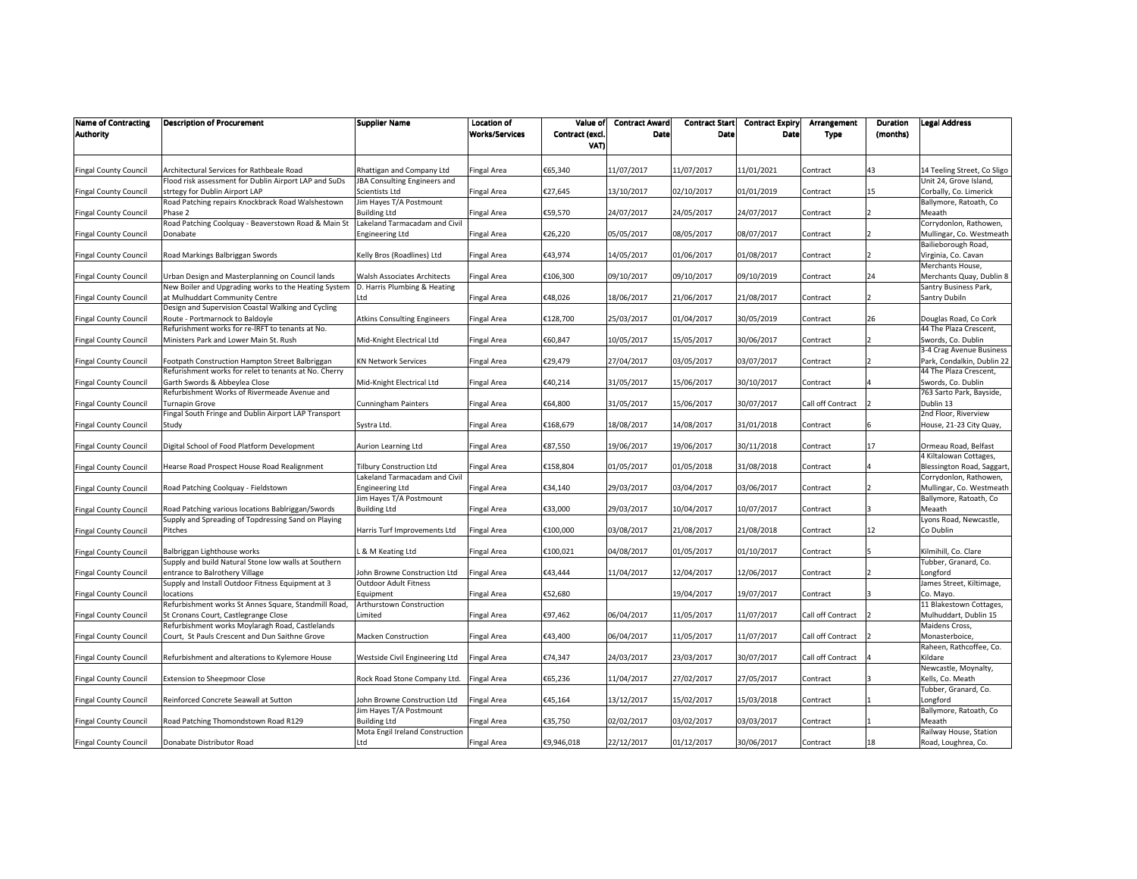| <b>Name of Contracting</b><br><b>Authority</b> | <b>Description of Procurement</b>                                                       | Supplier Name                                               | <b>Location of</b><br><b>Works/Services</b> | Value of<br>Contract (excl. | <b>Contract Award</b><br>Date | <b>Contract Start</b><br>Date | <b>Contract Expiry</b><br>Date | Arrangement<br><b>Type</b> | Duration<br>(months) | <b>Legal Address</b>                                 |
|------------------------------------------------|-----------------------------------------------------------------------------------------|-------------------------------------------------------------|---------------------------------------------|-----------------------------|-------------------------------|-------------------------------|--------------------------------|----------------------------|----------------------|------------------------------------------------------|
|                                                |                                                                                         |                                                             |                                             | VAT)                        |                               |                               |                                |                            |                      |                                                      |
| <b>Fingal County Council</b>                   | Architectural Services for Rathbeale Road                                               | Rhattigan and Company Ltd                                   | Fingal Area                                 | €65,340                     | 11/07/2017                    | 11/07/2017                    | 11/01/2021                     | Contract                   | 43                   | 14 Teeling Street, Co Sligo                          |
|                                                | Flood risk assessment for Dublin Airport LAP and SuDs                                   | JBA Consulting Engineers and                                |                                             |                             |                               |                               |                                |                            |                      | Unit 24, Grove Island,                               |
| <b>Fingal County Council</b>                   | strtegy for Dublin Airport LAP                                                          | Scientists Ltd                                              | Fingal Area                                 | €27,645                     | 13/10/2017                    | 02/10/2017                    | 01/01/2019                     | Contract                   | 15                   | Corbally, Co. Limerick                               |
|                                                | Road Patching repairs Knockbrack Road Walshestown                                       | Jim Hayes T/A Postmount                                     |                                             |                             |                               |                               |                                |                            |                      | Ballymore, Ratoath, Co                               |
| <b>Fingal County Council</b>                   | Phase 2                                                                                 | <b>Building Ltd</b>                                         | Fingal Area                                 | €59,570                     | 24/07/2017                    | 24/05/2017                    | 24/07/2017                     | Contract                   |                      | Meaath                                               |
|                                                | Road Patching Coolquay - Beaverstown Road & Main St                                     | Lakeland Tarmacadam and Civil                               |                                             |                             |                               |                               |                                |                            |                      | Corrydonlon, Rathowen,                               |
| <b>Fingal County Council</b>                   | Donabate                                                                                | Engineering Ltd                                             | Fingal Area                                 | €26,220                     | 05/05/2017                    | 08/05/2017                    | 08/07/2017                     | Contract                   |                      | Mullingar, Co. Westmeath                             |
|                                                |                                                                                         |                                                             |                                             |                             |                               |                               |                                |                            |                      | Bailieborough Road,                                  |
| <b>Fingal County Council</b>                   | Road Markings Balbriggan Swords                                                         | Kelly Bros (Roadlines) Ltd                                  | Fingal Area                                 | €43,974                     | 14/05/2017                    | 01/06/2017                    | 01/08/2017                     | Contract                   |                      | Virginia, Co. Cavan                                  |
|                                                |                                                                                         |                                                             |                                             |                             |                               |                               |                                |                            |                      | Merchants House,                                     |
| <b>Fingal County Council</b>                   | Urban Design and Masterplanning on Council lands                                        | Walsh Associates Architects<br>D. Harris Plumbing & Heating | <b>Fingal Area</b>                          | €106,300                    | 09/10/2017                    | 09/10/2017                    | 09/10/2019                     | Contract                   | 24                   | Merchants Quay, Dublin 8                             |
| <b>Fingal County Council</b>                   | New Boiler and Upgrading works to the Heating System<br>at Mulhuddart Community Centre  | Ltd                                                         | Fingal Area                                 | €48,026                     | 18/06/2017                    | 21/06/2017                    | 21/08/2017                     | Contract                   |                      | Santry Business Park,<br>Santry Dubiln               |
|                                                | Design and Supervision Coastal Walking and Cycling                                      |                                                             |                                             |                             |                               |                               |                                |                            |                      |                                                      |
| <b>Fingal County Council</b>                   | Route - Portmarnock to Baldoyle                                                         | <b>Atkins Consulting Engineers</b>                          | Fingal Area                                 | €128,700                    | 25/03/2017                    | 01/04/2017                    | 30/05/2019                     | Contract                   | 26                   | Douglas Road, Co Cork                                |
|                                                | Refurishment works for re-IRFT to tenants at No.                                        |                                                             |                                             |                             |                               |                               |                                |                            |                      | 44 The Plaza Crescent,                               |
| <b>Fingal County Council</b>                   | Ministers Park and Lower Main St. Rush                                                  | Mid-Knight Electrical Ltd                                   | Fingal Area                                 | €60,847                     | 10/05/2017                    | 15/05/2017                    | 30/06/2017                     | Contract                   |                      | Swords, Co. Dublin                                   |
|                                                |                                                                                         |                                                             |                                             |                             |                               |                               |                                |                            |                      | 3-4 Crag Avenue Business                             |
| <b>Fingal County Council</b>                   | Footpath Construction Hampton Street Balbriggan                                         | <b>KN Network Services</b>                                  | Fingal Area                                 | €29,479                     | 27/04/2017                    | 03/05/2017                    | 03/07/2017                     | Contract                   |                      | Park, Condalkin, Dublin 22                           |
|                                                | Refurishment works for relet to tenants at No. Cherry                                   |                                                             |                                             |                             |                               |                               |                                |                            |                      | 44 The Plaza Crescent,                               |
| <b>Fingal County Council</b>                   | Garth Swords & Abbeylea Close                                                           | Mid-Knight Electrical Ltd                                   | Fingal Area                                 | €40,214                     | 31/05/2017                    | 15/06/2017                    | 30/10/2017                     | Contract                   |                      | Swords, Co. Dublin                                   |
|                                                | Refurbishment Works of Rivermeade Avenue and                                            |                                                             |                                             |                             |                               |                               |                                |                            |                      | 763 Sarto Park, Bayside,                             |
| <b>Fingal County Council</b>                   | Turnapin Grove                                                                          | Cunningham Painters                                         | Fingal Area                                 | €64,800                     | 31/05/2017                    | 15/06/2017                    | 30/07/2017                     | Call off Contract          |                      | Dublin 13                                            |
|                                                | Fingal South Fringe and Dublin Airport LAP Transport                                    |                                                             |                                             |                             |                               |                               |                                |                            |                      | 2nd Floor, Riverview                                 |
| <b>Fingal County Council</b>                   | Study                                                                                   | Systra Ltd.                                                 | Fingal Area                                 | €168,679                    | 18/08/2017                    | 14/08/2017                    | 31/01/2018                     | Contract                   |                      | House, 21-23 City Quay,                              |
|                                                |                                                                                         |                                                             |                                             |                             |                               |                               |                                |                            |                      |                                                      |
| <b>Fingal County Council</b>                   | Digital School of Food Platform Development                                             | Aurion Learning Ltd                                         | Fingal Area                                 | €87,550                     | 19/06/2017                    | 19/06/2017                    | 30/11/2018                     | Contract                   |                      | Ormeau Road, Belfast                                 |
| <b>Fingal County Council</b>                   | Hearse Road Prospect House Road Realignment                                             | <b>Tilbury Construction Ltd</b>                             | Fingal Area                                 | €158,804                    | 01/05/2017                    | 01/05/2018                    | 31/08/2018                     |                            |                      | 4 Kiltalowan Cottages,<br>Blessington Road, Saggart, |
|                                                |                                                                                         | Lakeland Tarmacadam and Civil                               |                                             |                             |                               |                               |                                | Contract                   |                      | Corrydonlon, Rathowen,                               |
| <b>Fingal County Council</b>                   | Road Patching Coolquay - Fieldstown                                                     | <b>Engineering Ltd</b>                                      | Fingal Area                                 | €34,140                     | 29/03/2017                    | 03/04/2017                    | 03/06/2017                     | Contract                   |                      | Mullingar, Co. Westmeath                             |
|                                                |                                                                                         | Jim Hayes T/A Postmount                                     |                                             |                             |                               |                               |                                |                            |                      | Ballymore, Ratoath, Co                               |
| <b>Fingal County Council</b>                   | Road Patching various locations Bablriggan/Swords                                       | <b>Building Ltd</b>                                         | Fingal Area                                 | €33,000                     | 29/03/2017                    | 10/04/2017                    | 10/07/2017                     | Contract                   |                      | Meaath                                               |
|                                                | Supply and Spreading of Topdressing Sand on Playing                                     |                                                             |                                             |                             |                               |                               |                                |                            |                      | Lyons Road, Newcastle,                               |
| <b>Fingal County Council</b>                   | Pitches                                                                                 | Harris Turf Improvements Ltd                                | Fingal Area                                 | £100,000                    | 03/08/2017                    | 21/08/2017                    | 21/08/2018                     | Contract                   | 12                   | Co Dublin                                            |
|                                                |                                                                                         |                                                             |                                             |                             |                               |                               |                                |                            |                      |                                                      |
| <b>Fingal County Council</b>                   | Balbriggan Lighthouse works                                                             | & M Keating Ltd                                             | Fingal Area                                 | €100,021                    | 04/08/2017                    | 01/05/2017                    | 01/10/2017                     | Contract                   |                      | Kilmihill, Co. Clare                                 |
|                                                | Supply and build Natural Stone low walls at Southern                                    |                                                             |                                             |                             |                               |                               |                                |                            |                      | Tubber, Granard, Co.                                 |
| <b>Fingal County Council</b>                   | entrance to Balrothery Village                                                          | Iohn Browne Construction Ltd                                | Fingal Area                                 | €43,444                     | 11/04/2017                    | 12/04/2017                    | 12/06/2017                     | Contract                   |                      | Longford                                             |
|                                                | Supply and Install Outdoor Fitness Equipment at 3                                       | <b>Outdoor Adult Fitness</b>                                |                                             |                             |                               |                               |                                |                            |                      | James Street, Kiltimage,                             |
| <b>Fingal County Council</b>                   | locations                                                                               | Equipment                                                   | Fingal Area                                 | €52,680                     |                               | 19/04/2017                    | 19/07/2017                     | Contract                   |                      | Co. Mayo.                                            |
|                                                | Refurbishment works St Annes Square, Standmill Road,                                    | Arthurstown Construction<br>Limited                         | Fingal Area                                 | €97,462                     | 06/04/2017                    | 11/05/2017                    | 11/07/2017                     |                            |                      | 11 Blakestown Cottages,<br>Mulhuddart, Dublin 15     |
| <b>Fingal County Council</b>                   | St Cronans Court, Castlegrange Close<br>Refurbishment works Moylaragh Road, Castlelands |                                                             |                                             |                             |                               |                               |                                | Call off Contract          |                      | Maidens Cross,                                       |
| <b>Fingal County Council</b>                   | Court, St Pauls Crescent and Dun Saithne Grove                                          | <b>Macken Construction</b>                                  | Fingal Area                                 | €43,400                     | 06/04/2017                    | 11/05/2017                    | 11/07/2017                     | Call off Contract          |                      | Monasterboice,                                       |
|                                                |                                                                                         |                                                             |                                             |                             |                               |                               |                                |                            |                      | Raheen, Rathcoffee, Co.                              |
| <b>Fingal County Council</b>                   | Refurbishment and alterations to Kylemore House                                         | Westside Civil Engineering Ltd                              | Fingal Area                                 | €74,347                     | 24/03/2017                    | 23/03/2017                    | 30/07/2017                     | Call off Contract          |                      | Kildare                                              |
|                                                |                                                                                         |                                                             |                                             |                             |                               |                               |                                |                            |                      | Newcastle, Moynalty,                                 |
| <b>Fingal County Council</b>                   | <b>Extension to Sheepmoor Close</b>                                                     | Rock Road Stone Company Ltd.                                | Fingal Area                                 | €65,236                     | 11/04/2017                    | 27/02/2017                    | 27/05/2017                     | Contract                   |                      | Kells, Co. Meath                                     |
|                                                |                                                                                         |                                                             |                                             |                             |                               |                               |                                |                            |                      | Tubber, Granard, Co.                                 |
| <b>Fingal County Council</b>                   | Reinforced Concrete Seawall at Sutton                                                   | Iohn Browne Construction Ltd                                | Fingal Area                                 | €45,164                     | 13/12/2017                    | 15/02/2017                    | 15/03/2018                     | Contract                   |                      | Longford                                             |
|                                                |                                                                                         | Jim Hayes T/A Postmount                                     |                                             |                             |                               |                               |                                |                            |                      | Ballymore, Ratoath, Co                               |
| <b>Fingal County Council</b>                   | Road Patching Thomondstown Road R129                                                    | <b>Building Ltd</b>                                         | Fingal Area                                 | €35,750                     | 02/02/2017                    | 03/02/2017                    | 03/03/2017                     | Contract                   |                      | Meaath                                               |
|                                                |                                                                                         | Mota Engil Ireland Construction                             |                                             |                             |                               |                               |                                |                            |                      | Railway House, Station                               |
| <b>Fingal County Council</b>                   | Donabate Distributor Road                                                               | Ltd                                                         | <b>Fingal Area</b>                          | €9,946,018                  | 22/12/2017                    | 01/12/2017                    | 30/06/2017                     | Contract                   | 18                   | Road, Loughrea, Co.                                  |